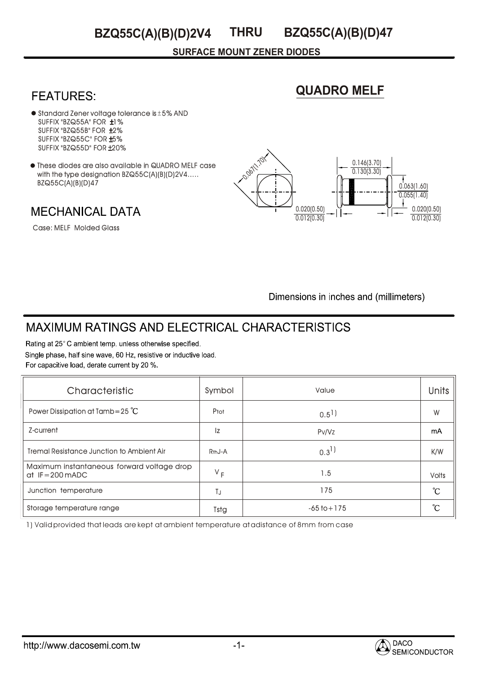#### **THRU BZQ55C(A)(B)(D)2V4 BZQ55C(A)(B)(D)47**

**SURFACE MOUNT ZENER DIODES**

## **FEATURES:**

# **QUADRO MELF**

- $\bullet$  Standard Zener voltage tolerance is  $\pm$  5% AND  $SUFFIX "BZQ55A" FOR  $\pm 1\%$$ SUFFIX "BZQ55B" FOR ±2% SUFFIX "BZQ55C" FOR ±5% SUFFIX "BZQ55D" FOR ±20% Standard Zener voltage tolerance Is ± 5% AND<br>SUFFIX "BZQ55A" FOR ±1%<br>SUFFIX "BZQ55B" FOR ±2%<br>SUFFIX "BZQ55C" FOR ±5%<br>SUFFIX "BZQ55D" FOR ±20%<br>These diodes are also available in QUADRO MELF case
- with the type designation BZQ55C(A)(B)(D)2V4..... BZQ55C(A)(B)(D)47

**MECHANICAL DATA** 

Case: MELF Molded Glass



Dimensions in inches and (millimeters)

## **MAXIMUM RATINGS AND ELECTRICAL CHARACTERISTICS**

Rating at 25°C ambient temp. unless otherwise specified. Single phase, half sine wave, 60 Hz, resistive or inductive load. For capacitive load, derate current by 20 %.

| Characteristic                                                 | Symbol              | Value              | <b>Units</b>      |
|----------------------------------------------------------------|---------------------|--------------------|-------------------|
| Power Dissipation at Tamb=25 $^{\circ}$ C                      | Ptot                | $0.5$ <sup>1</sup> | W                 |
| Z-current                                                      | Iz                  | Pv/Vz              | mA                |
| <b>Tremal Resistance Junction to Ambient Air</b>               | R <sub>th</sub> J-A | $0.3^{1}$          | K/W               |
| Maximum instantaneous forward voltage drop<br>$at$ IF=200 mADC | $V_F$               | 1.5                | <b>Volts</b>      |
| Junction temperature                                           | TJ                  | 175                | $\rm ^{\circ}\!C$ |
| Storage temperature range                                      | Tstg                | $-65$ to $+175$    | °C                |

1) Valid provided that leads are kept at ambient temperature at adistance of 8mm from case

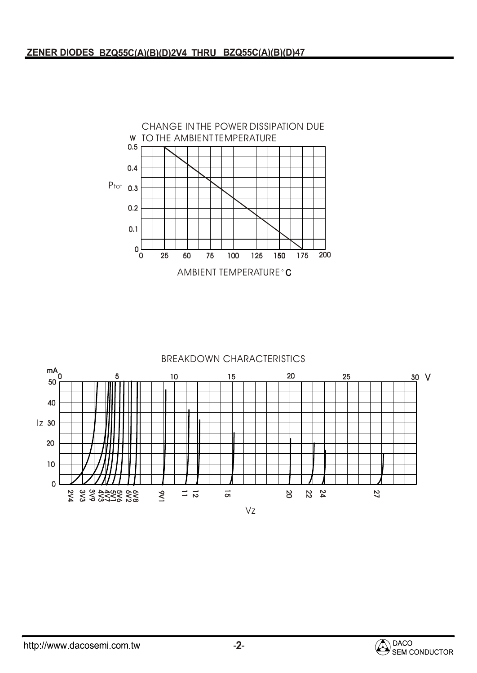

#### BREAKDOWN CHARACTERISTICS